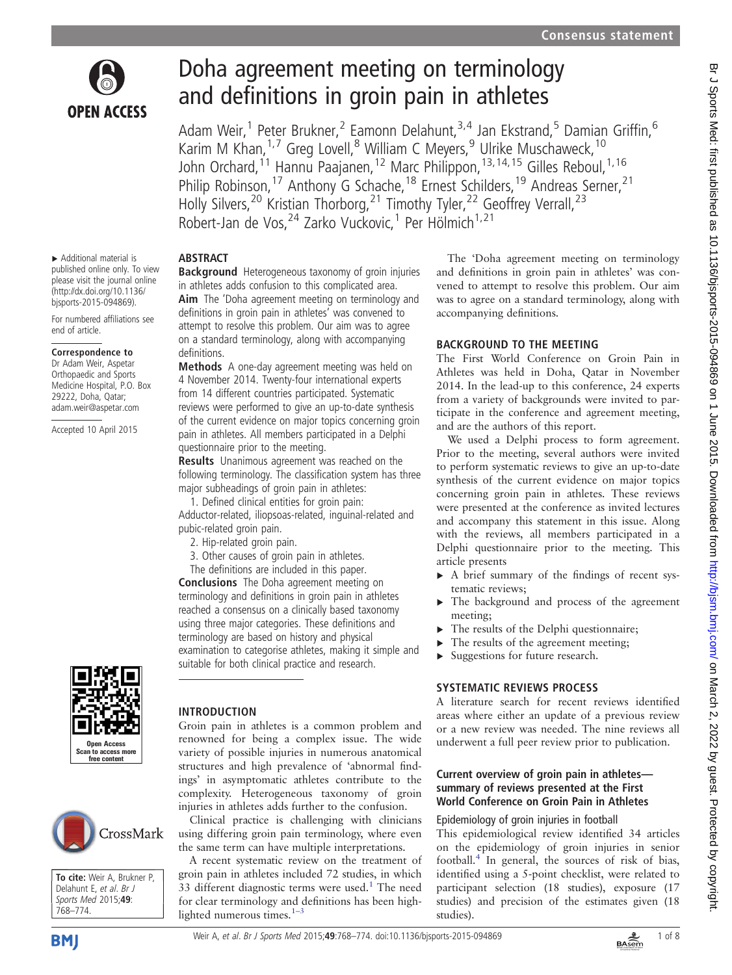

# Doha agreement meeting on terminology and definitions in groin pain in athletes

Adam Weir,<sup>1</sup> Peter Brukner,<sup>2</sup> Eamonn Delahunt,<sup>3,4</sup> Jan Ekstrand,<sup>5</sup> Damian Griffin,<sup>6</sup> Karim M Khan,<sup>1,7</sup> Greg Lovell,<sup>8</sup> William C Meyers,<sup>9</sup> Ulrike Muschaweck,<sup>10</sup> John Orchard,<sup>11</sup> Hannu Paajanen,<sup>12</sup> Marc Philippon,<sup>13,14,15</sup> Gilles Reboul,<sup>1,16</sup> Philip Robinson,<sup>17</sup> Anthony G Schache,<sup>18</sup> Ernest Schilders,<sup>19</sup> Andreas Serner,<sup>21</sup> Holly Silvers,<sup>20</sup> Kristian Thorborg,<sup>21</sup> Timothy Tyler,<sup>22</sup> Geoffrey Verrall,<sup>23</sup> Robert-Jan de Vos, <sup>24</sup> Zarko Vuckovic, <sup>1</sup> Per Hölmich<sup>1,21</sup>

#### ▸ Additional material is published online only. To view please visit the journal online [\(http://dx.doi.org/10.1136/](http://dx.doi.org/10.1136/bjsports-2015-094869)

ABSTRACT

definitions.

**Background** Heterogeneous taxonomy of groin injuries in athletes adds confusion to this complicated area. Aim The 'Doha agreement meeting on terminology and definitions in groin pain in athletes' was convened to attempt to resolve this problem. Our aim was to agree on a standard terminology, along with accompanying

Methods A one-day agreement meeting was held on 4 November 2014. Twenty-four international experts from 14 different countries participated. Systematic reviews were performed to give an up-to-date synthesis of the current evidence on major topics concerning groin pain in athletes. All members participated in a Delphi

Results Unanimous agreement was reached on the following terminology. The classification system has three

major subheadings of groin pain in athletes: 1. Defined clinical entities for groin pain: Adductor-related, iliopsoas-related, inguinal-related and

3. Other causes of groin pain in athletes. The definitions are included in this paper. Conclusions The Doha agreement meeting on terminology and definitions in groin pain in athletes reached a consensus on a clinically based taxonomy using three major categories. These definitions and terminology are based on history and physical

suitable for both clinical practice and research.

questionnaire prior to the meeting.

pubic-related groin pain. 2. Hip-related groin pain.

For numbered affiliations see end of article.

#### Correspondence to

[bjsports-2015-094869](http://dx.doi.org/10.1136/bjsports-2015-094869)).

Dr Adam Weir, Aspetar Orthopaedic and Sports Medicine Hospital, P.O. Box 29222, Doha, Qatar; adam.weir@aspetar.com

Accepted 10 April 2015



To cite: Weir A, Brukner P, Delahunt F, et al. Br J Sports Med 2015;49: 768–774.

CrossMark



Groin pain in athletes is a common problem and renowned for being a complex issue. The wide variety of possible injuries in numerous anatomical structures and high prevalence of 'abnormal findings' in asymptomatic athletes contribute to the complexity. Heterogeneous taxonomy of groin injuries in athletes adds further to the confusion.

examination to categorise athletes, making it simple and

Clinical practice is challenging with clinicians using differing groin pain terminology, where even the same term can have multiple interpretations.

A recent systematic review on the treatment of groin pain in athletes included 72 studies, in which 33 different diagnostic terms were used. $1$  The need for clear terminology and definitions has been highlighted numerous times. $1-3$  $1-3$ 

The 'Doha agreement meeting on terminology and definitions in groin pain in athletes' was convened to attempt to resolve this problem. Our aim was to agree on a standard terminology, along with accompanying definitions.

# BACKGROUND TO THE MEETING

The First World Conference on Groin Pain in Athletes was held in Doha, Qatar in November 2014. In the lead-up to this conference, 24 experts from a variety of backgrounds were invited to participate in the conference and agreement meeting, and are the authors of this report.

We used a Delphi process to form agreement. Prior to the meeting, several authors were invited to perform systematic reviews to give an up-to-date synthesis of the current evidence on major topics concerning groin pain in athletes. These reviews were presented at the conference as invited lectures and accompany this statement in this issue. Along with the reviews, all members participated in a Delphi questionnaire prior to the meeting. This article presents

- ▸ A brief summary of the findings of recent systematic reviews;
- ▸ The background and process of the agreement meeting;
- The results of the Delphi questionnaire;
- The results of the agreement meeting;
- Suggestions for future research.

# SYSTEMATIC REVIEWS PROCESS

A literature search for recent reviews identified areas where either an update of a previous review or a new review was needed. The nine reviews all underwent a full peer review prior to publication.

## Current overview of groin pain in athletes summary of reviews presented at the First World Conference on Groin Pain in Athletes

## Epidemiology of groin injuries in football

This epidemiological review identified 34 articles on the epidemiology of groin injuries in senior football[.4](#page-7-0) In general, the sources of risk of bias, identified using a 5-point checklist, were related to participant selection (18 studies), exposure (17 studies) and precision of the estimates given (18 studies).



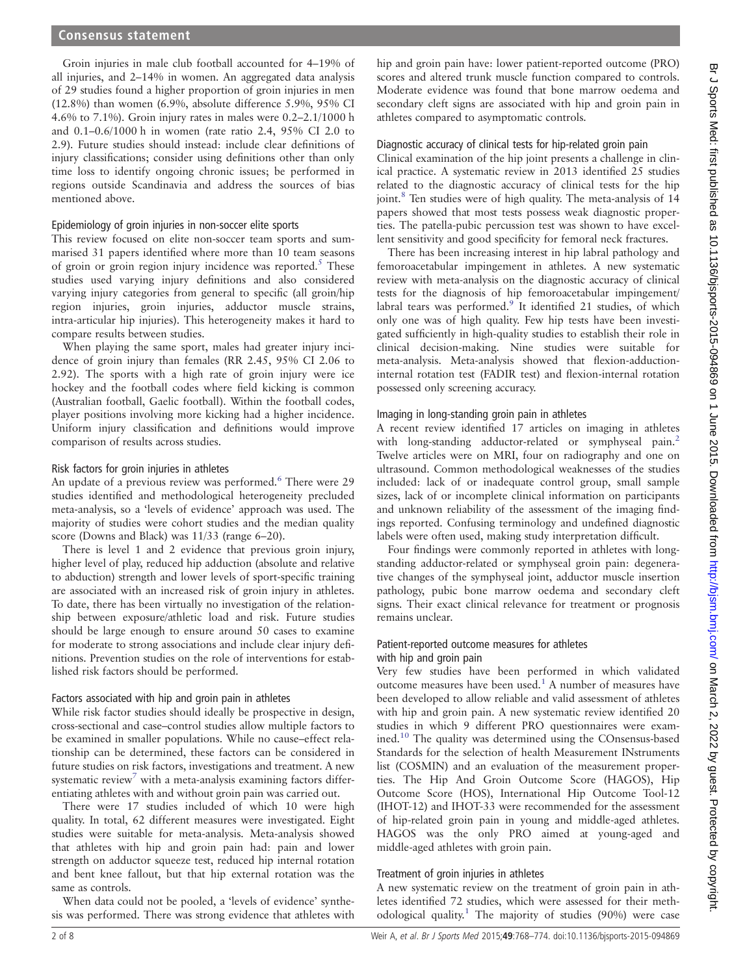Groin injuries in male club football accounted for 4–19% of all injuries, and 2–14% in women. An aggregated data analysis of 29 studies found a higher proportion of groin injuries in men (12.8%) than women (6.9%, absolute difference 5.9%, 95% CI 4.6% to 7.1%). Groin injury rates in males were 0.2–2.1/1000 h and 0.1–0.6/1000 h in women (rate ratio 2.4, 95% CI 2.0 to 2.9). Future studies should instead: include clear definitions of injury classifications; consider using definitions other than only time loss to identify ongoing chronic issues; be performed in regions outside Scandinavia and address the sources of bias mentioned above.

#### Epidemiology of groin injuries in non-soccer elite sports

This review focused on elite non-soccer team sports and summarised 31 papers identified where more than 10 team seasons of groin or groin region injury incidence was reported.<sup>[5](#page-7-0)</sup> These studies used varying injury definitions and also considered varying injury categories from general to specific (all groin/hip region injuries, groin injuries, adductor muscle strains, intra-articular hip injuries). This heterogeneity makes it hard to compare results between studies.

When playing the same sport, males had greater injury incidence of groin injury than females (RR 2.45, 95% CI 2.06 to 2.92). The sports with a high rate of groin injury were ice hockey and the football codes where field kicking is common (Australian football, Gaelic football). Within the football codes, player positions involving more kicking had a higher incidence. Uniform injury classification and definitions would improve comparison of results across studies.

#### Risk factors for groin injuries in athletes

An update of a previous review was performed.<sup>[6](#page-7-0)</sup> There were 29 studies identified and methodological heterogeneity precluded meta-analysis, so a 'levels of evidence' approach was used. The majority of studies were cohort studies and the median quality score (Downs and Black) was 11/33 (range 6–20).

There is level 1 and 2 evidence that previous groin injury, higher level of play, reduced hip adduction (absolute and relative to abduction) strength and lower levels of sport-specific training are associated with an increased risk of groin injury in athletes. To date, there has been virtually no investigation of the relationship between exposure/athletic load and risk. Future studies should be large enough to ensure around 50 cases to examine for moderate to strong associations and include clear injury definitions. Prevention studies on the role of interventions for established risk factors should be performed.

#### Factors associated with hip and groin pain in athletes

While risk factor studies should ideally be prospective in design, cross-sectional and case–control studies allow multiple factors to be examined in smaller populations. While no cause–effect relationship can be determined, these factors can be considered in future studies on risk factors, investigations and treatment. A new systematic review<sup>[7](#page-7-0)</sup> with a meta-analysis examining factors differentiating athletes with and without groin pain was carried out.

There were 17 studies included of which 10 were high quality. In total, 62 different measures were investigated. Eight studies were suitable for meta-analysis. Meta-analysis showed that athletes with hip and groin pain had: pain and lower strength on adductor squeeze test, reduced hip internal rotation and bent knee fallout, but that hip external rotation was the same as controls.

When data could not be pooled, a 'levels of evidence' synthesis was performed. There was strong evidence that athletes with

hip and groin pain have: lower patient-reported outcome (PRO) scores and altered trunk muscle function compared to controls. Moderate evidence was found that bone marrow oedema and secondary cleft signs are associated with hip and groin pain in athletes compared to asymptomatic controls.

Diagnostic accuracy of clinical tests for hip-related groin pain

Clinical examination of the hip joint presents a challenge in clinical practice. A systematic review in 2013 identified 25 studies related to the diagnostic accuracy of clinical tests for the hip joint.<sup>8</sup> Ten studies were of high quality. The meta-analysis of 14 papers showed that most tests possess weak diagnostic properties. The patella-pubic percussion test was shown to have excellent sensitivity and good specificity for femoral neck fractures.

There has been increasing interest in hip labral pathology and femoroacetabular impingement in athletes. A new systematic review with meta-analysis on the diagnostic accuracy of clinical tests for the diagnosis of hip femoroacetabular impingement/ labral tears was performed.<sup>[9](#page-7-0)</sup> It identified 21 studies, of which only one was of high quality. Few hip tests have been investigated sufficiently in high-quality studies to establish their role in clinical decision-making. Nine studies were suitable for meta-analysis. Meta-analysis showed that flexion-adductioninternal rotation test (FADIR test) and flexion-internal rotation possessed only screening accuracy.

#### Imaging in long-standing groin pain in athletes

A recent review identified 17 articles on imaging in athletes with long-standing adductor-related or symphyseal pain.<sup>[2](#page-7-0)</sup> Twelve articles were on MRI, four on radiography and one on ultrasound. Common methodological weaknesses of the studies included: lack of or inadequate control group, small sample sizes, lack of or incomplete clinical information on participants and unknown reliability of the assessment of the imaging findings reported. Confusing terminology and undefined diagnostic labels were often used, making study interpretation difficult.

Four findings were commonly reported in athletes with longstanding adductor-related or symphyseal groin pain: degenerative changes of the symphyseal joint, adductor muscle insertion pathology, pubic bone marrow oedema and secondary cleft signs. Their exact clinical relevance for treatment or prognosis remains unclear.

## Patient-reported outcome measures for athletes with hip and groin pain

Very few studies have been performed in which validated outcome measures have been used.<sup>[1](#page-6-0)</sup> A number of measures have been developed to allow reliable and valid assessment of athletes with hip and groin pain. A new systematic review identified 20 studies in which 9 different PRO questionnaires were examined.[10](#page-7-0) The quality was determined using the COnsensus-based Standards for the selection of health Measurement INstruments list (COSMIN) and an evaluation of the measurement properties. The Hip And Groin Outcome Score (HAGOS), Hip Outcome Score (HOS), International Hip Outcome Tool-12 (IHOT-12) and IHOT-33 were recommended for the assessment of hip-related groin pain in young and middle-aged athletes. HAGOS was the only PRO aimed at young-aged and middle-aged athletes with groin pain.

## Treatment of groin injuries in athletes

A new systematic review on the treatment of groin pain in athletes identified 72 studies, which were assessed for their methodological quality.[1](#page-6-0) The majority of studies (90%) were case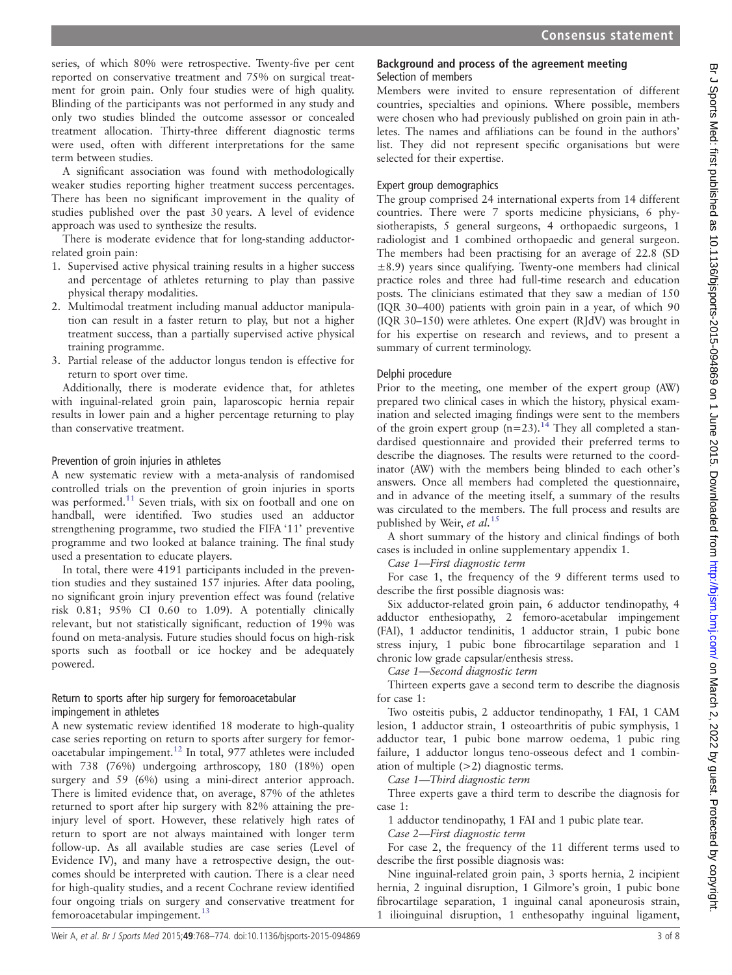series, of which 80% were retrospective. Twenty-five per cent reported on conservative treatment and 75% on surgical treatment for groin pain. Only four studies were of high quality. Blinding of the participants was not performed in any study and only two studies blinded the outcome assessor or concealed treatment allocation. Thirty-three different diagnostic terms were used, often with different interpretations for the same term between studies.

A significant association was found with methodologically weaker studies reporting higher treatment success percentages. There has been no significant improvement in the quality of studies published over the past 30 years. A level of evidence approach was used to synthesize the results.

There is moderate evidence that for long-standing adductorrelated groin pain:

- 1. Supervised active physical training results in a higher success and percentage of athletes returning to play than passive physical therapy modalities.
- 2. Multimodal treatment including manual adductor manipulation can result in a faster return to play, but not a higher treatment success, than a partially supervised active physical training programme.
- 3. Partial release of the adductor longus tendon is effective for return to sport over time.

Additionally, there is moderate evidence that, for athletes with inguinal-related groin pain, laparoscopic hernia repair results in lower pain and a higher percentage returning to play than conservative treatment.

## Prevention of groin injuries in athletes

A new systematic review with a meta-analysis of randomised controlled trials on the prevention of groin injuries in sports was performed.<sup>11</sup> Seven trials, with six on football and one on handball, were identified. Two studies used an adductor strengthening programme, two studied the FIFA '11' preventive programme and two looked at balance training. The final study used a presentation to educate players.

In total, there were 4191 participants included in the prevention studies and they sustained 157 injuries. After data pooling, no significant groin injury prevention effect was found (relative risk 0.81; 95% CI 0.60 to 1.09). A potentially clinically relevant, but not statistically significant, reduction of 19% was found on meta-analysis. Future studies should focus on high-risk sports such as football or ice hockey and be adequately powered.

## Return to sports after hip surgery for femoroacetabular impingement in athletes

A new systematic review identified 18 moderate to high-quality case series reporting on return to sports after surgery for femoroacetabular impingement.[12](#page-7-0) In total, 977 athletes were included with 738 (76%) undergoing arthroscopy, 180 (18%) open surgery and 59 (6%) using a mini-direct anterior approach. There is limited evidence that, on average, 87% of the athletes returned to sport after hip surgery with 82% attaining the preinjury level of sport. However, these relatively high rates of return to sport are not always maintained with longer term follow-up. As all available studies are case series (Level of Evidence IV), and many have a retrospective design, the outcomes should be interpreted with caution. There is a clear need for high-quality studies, and a recent Cochrane review identified four ongoing trials on surgery and conservative treatment for femoroacetabular impingement.<sup>[13](#page-7-0)</sup>

## Background and process of the agreement meeting Selection of members

Members were invited to ensure representation of different countries, specialties and opinions. Where possible, members were chosen who had previously published on groin pain in athletes. The names and affiliations can be found in the authors' list. They did not represent specific organisations but were selected for their expertise.

## Expert group demographics

The group comprised 24 international experts from 14 different countries. There were 7 sports medicine physicians, 6 physiotherapists, 5 general surgeons, 4 orthopaedic surgeons, 1 radiologist and 1 combined orthopaedic and general surgeon. The members had been practising for an average of 22.8 (SD ±8.9) years since qualifying. Twenty-one members had clinical practice roles and three had full-time research and education posts. The clinicians estimated that they saw a median of 150 (IQR 30–400) patients with groin pain in a year, of which 90 (IQR 30–150) were athletes. One expert (RJdV) was brought in for his expertise on research and reviews, and to present a summary of current terminology.

## Delphi procedure

Prior to the meeting, one member of the expert group (AW) prepared two clinical cases in which the history, physical examination and selected imaging findings were sent to the members of the groin expert group  $(n=23)$ .<sup>[14](#page-7-0)</sup> They all completed a standardised questionnaire and provided their preferred terms to describe the diagnoses. The results were returned to the coordinator (AW) with the members being blinded to each other's answers. Once all members had completed the questionnaire, and in advance of the meeting itself, a summary of the results was circulated to the members. The full process and results are published by Weir, et al.  $^{15}$  $^{15}$  $^{15}$ 

A short summary of the history and clinical findings of both cases is included in online supplementary appendix 1.

Case 1—First diagnostic term

For case 1, the frequency of the 9 different terms used to describe the first possible diagnosis was:

Six adductor-related groin pain, 6 adductor tendinopathy, 4 adductor enthesiopathy, 2 femoro-acetabular impingement (FAI), 1 adductor tendinitis, 1 adductor strain, 1 pubic bone stress injury, 1 pubic bone fibrocartilage separation and 1 chronic low grade capsular/enthesis stress.

Case 1—Second diagnostic term

Thirteen experts gave a second term to describe the diagnosis for case 1:

Two osteitis pubis, 2 adductor tendinopathy, 1 FAI, 1 CAM lesion, 1 adductor strain, 1 osteoarthritis of pubic symphysis, 1 adductor tear, 1 pubic bone marrow oedema, 1 pubic ring failure, 1 adductor longus teno-osseous defect and 1 combination of multiple (>2) diagnostic terms.

Case 1—Third diagnostic term

Three experts gave a third term to describe the diagnosis for case 1:

1 adductor tendinopathy, 1 FAI and 1 pubic plate tear.

Case 2—First diagnostic term

For case 2, the frequency of the 11 different terms used to describe the first possible diagnosis was:

Nine inguinal-related groin pain, 3 sports hernia, 2 incipient hernia, 2 inguinal disruption, 1 Gilmore's groin, 1 pubic bone fibrocartilage separation, 1 inguinal canal aponeurosis strain, 1 ilioinguinal disruption, 1 enthesopathy inguinal ligament,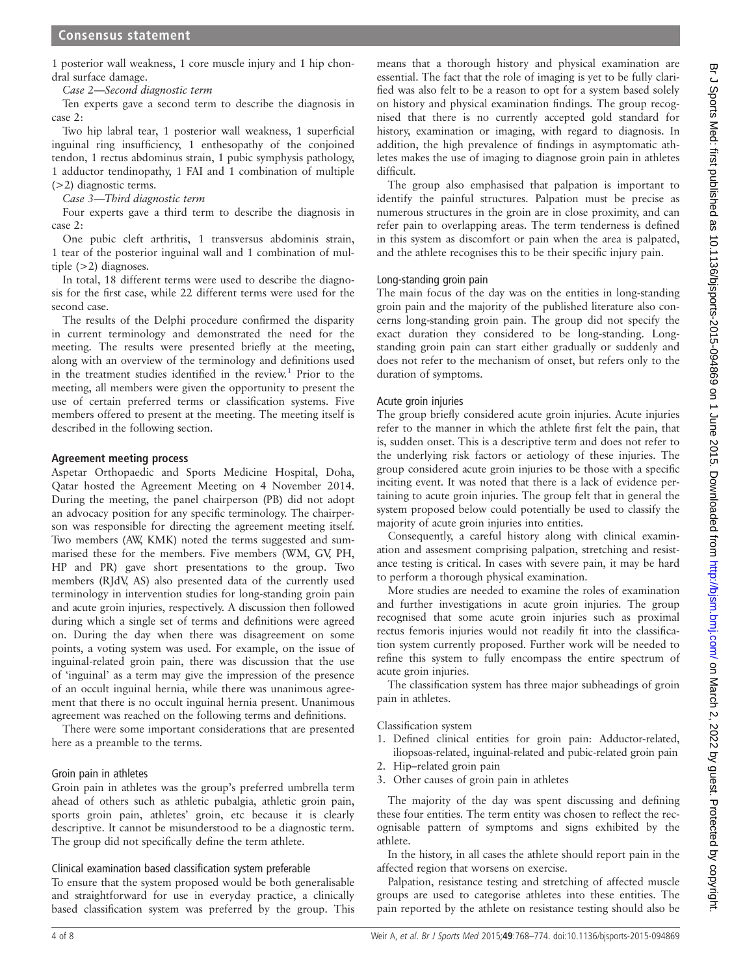1 posterior wall weakness, 1 core muscle injury and 1 hip chondral surface damage.

Case 2—Second diagnostic term

Ten experts gave a second term to describe the diagnosis in case 2:

Two hip labral tear, 1 posterior wall weakness, 1 superficial inguinal ring insufficiency, 1 enthesopathy of the conjoined tendon, 1 rectus abdominus strain, 1 pubic symphysis pathology, 1 adductor tendinopathy, 1 FAI and 1 combination of multiple (>2) diagnostic terms.

## Case 3—Third diagnostic term

Four experts gave a third term to describe the diagnosis in case 2:

One pubic cleft arthritis, 1 transversus abdominis strain, 1 tear of the posterior inguinal wall and 1 combination of multiple  $(>2)$  diagnoses.

In total, 18 different terms were used to describe the diagnosis for the first case, while 22 different terms were used for the second case.

The results of the Delphi procedure confirmed the disparity in current terminology and demonstrated the need for the meeting. The results were presented briefly at the meeting, along with an overview of the terminology and definitions used in the treatment studies identified in the review.<sup>[1](#page-6-0)</sup> Prior to the meeting, all members were given the opportunity to present the use of certain preferred terms or classification systems. Five members offered to present at the meeting. The meeting itself is described in the following section.

#### Agreement meeting process

Aspetar Orthopaedic and Sports Medicine Hospital, Doha, Qatar hosted the Agreement Meeting on 4 November 2014. During the meeting, the panel chairperson (PB) did not adopt an advocacy position for any specific terminology. The chairperson was responsible for directing the agreement meeting itself. Two members (AW, KMK) noted the terms suggested and summarised these for the members. Five members (WM, GV, PH, HP and PR) gave short presentations to the group. Two members (RJdV, AS) also presented data of the currently used terminology in intervention studies for long-standing groin pain and acute groin injuries, respectively. A discussion then followed during which a single set of terms and definitions were agreed on. During the day when there was disagreement on some points, a voting system was used. For example, on the issue of inguinal-related groin pain, there was discussion that the use of 'inguinal' as a term may give the impression of the presence of an occult inguinal hernia, while there was unanimous agreement that there is no occult inguinal hernia present. Unanimous agreement was reached on the following terms and definitions.

There were some important considerations that are presented here as a preamble to the terms.

## Groin pain in athletes

Groin pain in athletes was the group's preferred umbrella term ahead of others such as athletic pubalgia, athletic groin pain, sports groin pain, athletes' groin, etc because it is clearly descriptive. It cannot be misunderstood to be a diagnostic term. The group did not specifically define the term athlete.

## Clinical examination based classification system preferable

To ensure that the system proposed would be both generalisable and straightforward for use in everyday practice, a clinically based classification system was preferred by the group. This

means that a thorough history and physical examination are essential. The fact that the role of imaging is yet to be fully clarified was also felt to be a reason to opt for a system based solely on history and physical examination findings. The group recognised that there is no currently accepted gold standard for history, examination or imaging, with regard to diagnosis. In addition, the high prevalence of findings in asymptomatic athletes makes the use of imaging to diagnose groin pain in athletes difficult.

The group also emphasised that palpation is important to identify the painful structures. Palpation must be precise as numerous structures in the groin are in close proximity, and can refer pain to overlapping areas. The term tenderness is defined in this system as discomfort or pain when the area is palpated, and the athlete recognises this to be their specific injury pain.

## Long-standing groin pain

The main focus of the day was on the entities in long-standing groin pain and the majority of the published literature also concerns long-standing groin pain. The group did not specify the exact duration they considered to be long-standing. Longstanding groin pain can start either gradually or suddenly and does not refer to the mechanism of onset, but refers only to the duration of symptoms.

## Acute groin injuries

The group briefly considered acute groin injuries. Acute injuries refer to the manner in which the athlete first felt the pain, that is, sudden onset. This is a descriptive term and does not refer to the underlying risk factors or aetiology of these injuries. The group considered acute groin injuries to be those with a specific inciting event. It was noted that there is a lack of evidence pertaining to acute groin injuries. The group felt that in general the system proposed below could potentially be used to classify the majority of acute groin injuries into entities.

Consequently, a careful history along with clinical examination and assesment comprising palpation, stretching and resistance testing is critical. In cases with severe pain, it may be hard to perform a thorough physical examination.

More studies are needed to examine the roles of examination and further investigations in acute groin injuries. The group recognised that some acute groin injuries such as proximal rectus femoris injuries would not readily fit into the classification system currently proposed. Further work will be needed to refine this system to fully encompass the entire spectrum of acute groin injuries.

The classification system has three major subheadings of groin pain in athletes.

#### Classification system

- 1. Defined clinical entities for groin pain: Adductor-related, iliopsoas-related, inguinal-related and pubic-related groin pain
- 2. Hip–related groin pain
- 3. Other causes of groin pain in athletes

The majority of the day was spent discussing and defining these four entities. The term entity was chosen to reflect the recognisable pattern of symptoms and signs exhibited by the athlete.

In the history, in all cases the athlete should report pain in the affected region that worsens on exercise.

Palpation, resistance testing and stretching of affected muscle groups are used to categorise athletes into these entities. The pain reported by the athlete on resistance testing should also be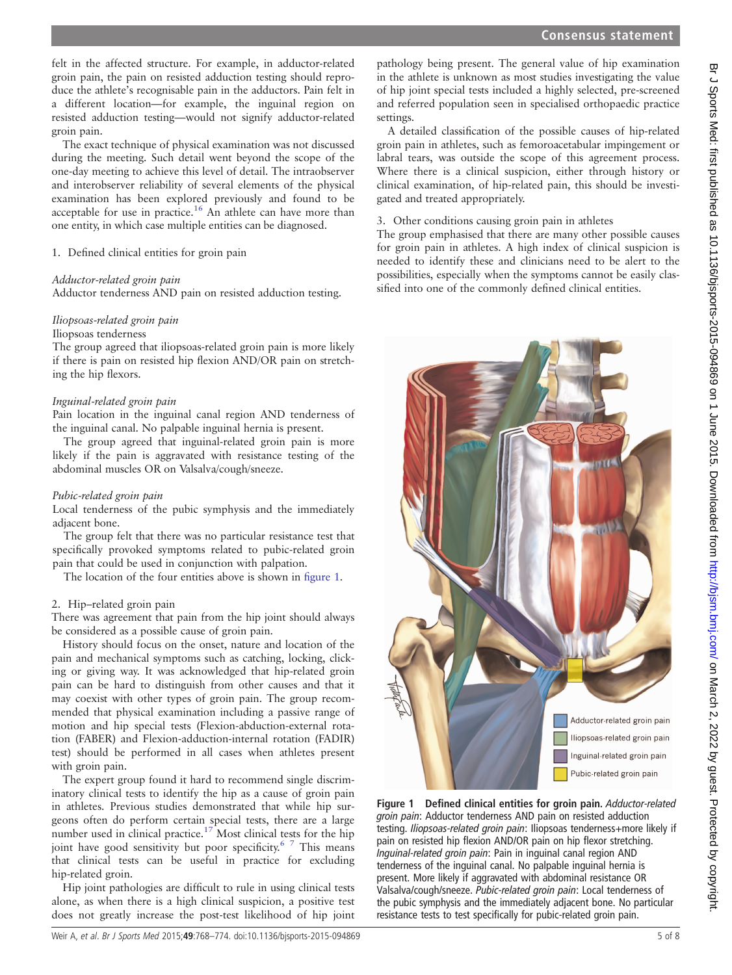Br J Sports Med: first published as 10.1136/bjsports-2015-094869 on 1 June 2015. Downloaded from <http://bjsm.bmj.com/> on March 2, 2022 by guest. Protected by copyright.

felt in the affected structure. For example, in adductor-related groin pain, the pain on resisted adduction testing should reproduce the athlete's recognisable pain in the adductors. Pain felt in a different location—for example, the inguinal region on resisted adduction testing—would not signify adductor-related groin pain.

The exact technique of physical examination was not discussed during the meeting. Such detail went beyond the scope of the one-day meeting to achieve this level of detail. The intraobserver and interobserver reliability of several elements of the physical examination has been explored previously and found to be acceptable for use in practice.<sup>[16](#page-7-0)</sup> An athlete can have more than one entity, in which case multiple entities can be diagnosed.

#### 1. Defined clinical entities for groin pain

#### Adductor-related groin pain

Adductor tenderness AND pain on resisted adduction testing.

#### Iliopsoas-related groin pain

#### Iliopsoas tenderness

The group agreed that iliopsoas-related groin pain is more likely if there is pain on resisted hip flexion AND/OR pain on stretching the hip flexors.

#### Inguinal-related groin pain

Pain location in the inguinal canal region AND tenderness of the inguinal canal. No palpable inguinal hernia is present.

The group agreed that inguinal-related groin pain is more likely if the pain is aggravated with resistance testing of the abdominal muscles OR on Valsalva/cough/sneeze.

#### Pubic-related groin pain

Local tenderness of the pubic symphysis and the immediately adjacent bone.

The group felt that there was no particular resistance test that specifically provoked symptoms related to pubic-related groin pain that could be used in conjunction with palpation.

The location of the four entities above is shown in figure 1.

#### 2. Hip–related groin pain

There was agreement that pain from the hip joint should always be considered as a possible cause of groin pain.

History should focus on the onset, nature and location of the pain and mechanical symptoms such as catching, locking, clicking or giving way. It was acknowledged that hip-related groin pain can be hard to distinguish from other causes and that it may coexist with other types of groin pain. The group recommended that physical examination including a passive range of motion and hip special tests (Flexion-abduction-external rotation (FABER) and Flexion-adduction-internal rotation (FADIR) test) should be performed in all cases when athletes present with groin pain.

The expert group found it hard to recommend single discriminatory clinical tests to identify the hip as a cause of groin pain in athletes. Previous studies demonstrated that while hip surgeons often do perform certain special tests, there are a large number used in clinical practice.<sup>[17](#page-7-0)</sup> Most clinical tests for the hip joint have good sensitivity but poor specificity.<sup>[6 7](#page-7-0)</sup> This means that clinical tests can be useful in practice for excluding hip-related groin.

Hip joint pathologies are difficult to rule in using clinical tests alone, as when there is a high clinical suspicion, a positive test does not greatly increase the post-test likelihood of hip joint

pathology being present. The general value of hip examination in the athlete is unknown as most studies investigating the value of hip joint special tests included a highly selected, pre-screened and referred population seen in specialised orthopaedic practice settings.

A detailed classification of the possible causes of hip-related groin pain in athletes, such as femoroacetabular impingement or labral tears, was outside the scope of this agreement process. Where there is a clinical suspicion, either through history or clinical examination, of hip-related pain, this should be investigated and treated appropriately.

## 3. Other conditions causing groin pain in athletes

The group emphasised that there are many other possible causes for groin pain in athletes. A high index of clinical suspicion is needed to identify these and clinicians need to be alert to the possibilities, especially when the symptoms cannot be easily classified into one of the commonly defined clinical entities.



Figure 1 Defined clinical entities for groin pain. Adductor-related groin pain: Adductor tenderness AND pain on resisted adduction testing. Iliopsoas-related groin pain: Iliopsoas tenderness+more likely if pain on resisted hip flexion AND/OR pain on hip flexor stretching. Inguinal-related groin pain: Pain in inguinal canal region AND tenderness of the inguinal canal. No palpable inguinal hernia is present. More likely if aggravated with abdominal resistance OR Valsalva/cough/sneeze. Pubic-related groin pain: Local tenderness of the pubic symphysis and the immediately adjacent bone. No particular resistance tests to test specifically for pubic-related groin pain.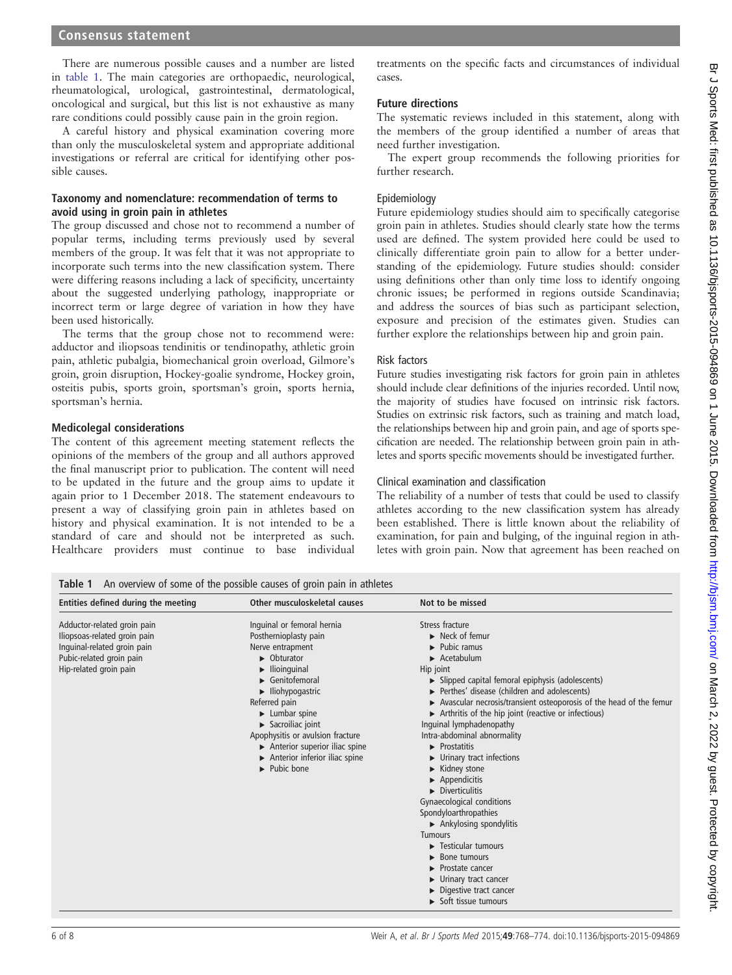## Consensus statement

There are numerous possible causes and a number are listed in table 1. The main categories are orthopaedic, neurological, rheumatological, urological, gastrointestinal, dermatological, oncological and surgical, but this list is not exhaustive as many rare conditions could possibly cause pain in the groin region.

A careful history and physical examination covering more than only the musculoskeletal system and appropriate additional investigations or referral are critical for identifying other possible causes.

#### Taxonomy and nomenclature: recommendation of terms to avoid using in groin pain in athletes

The group discussed and chose not to recommend a number of popular terms, including terms previously used by several members of the group. It was felt that it was not appropriate to incorporate such terms into the new classification system. There were differing reasons including a lack of specificity, uncertainty about the suggested underlying pathology, inappropriate or incorrect term or large degree of variation in how they have been used historically.

The terms that the group chose not to recommend were: adductor and iliopsoas tendinitis or tendinopathy, athletic groin pain, athletic pubalgia, biomechanical groin overload, Gilmore's groin, groin disruption, Hockey-goalie syndrome, Hockey groin, osteitis pubis, sports groin, sportsman's groin, sports hernia, sportsman's hernia.

#### Medicolegal considerations

The content of this agreement meeting statement reflects the opinions of the members of the group and all authors approved the final manuscript prior to publication. The content will need to be updated in the future and the group aims to update it again prior to 1 December 2018. The statement endeavours to present a way of classifying groin pain in athletes based on history and physical examination. It is not intended to be a standard of care and should not be interpreted as such. Healthcare providers must continue to base individual

treatments on the specific facts and circumstances of individual cases.

## Future directions

The systematic reviews included in this statement, along with the members of the group identified a number of areas that need further investigation.

The expert group recommends the following priorities for further research.

## Epidemiology

Future epidemiology studies should aim to specifically categorise groin pain in athletes. Studies should clearly state how the terms used are defined. The system provided here could be used to clinically differentiate groin pain to allow for a better understanding of the epidemiology. Future studies should: consider using definitions other than only time loss to identify ongoing chronic issues; be performed in regions outside Scandinavia; and address the sources of bias such as participant selection, exposure and precision of the estimates given. Studies can further explore the relationships between hip and groin pain.

#### Risk factors

Future studies investigating risk factors for groin pain in athletes should include clear definitions of the injuries recorded. Until now, the majority of studies have focused on intrinsic risk factors. Studies on extrinsic risk factors, such as training and match load, the relationships between hip and groin pain, and age of sports specification are needed. The relationship between groin pain in athletes and sports specific movements should be investigated further.

## Clinical examination and classification

The reliability of a number of tests that could be used to classify athletes according to the new classification system has already been established. There is little known about the reliability of examination, for pain and bulging, of the inguinal region in athletes with groin pain. Now that agreement has been reached on

Table 1 An overview of some of the possible causes of groin pain in athletes

| Entities defined during the meeting                                                                                                              | Other musculoskeletal causes                                                                                                                                                                                                                                                                                                                                                                         | Not to be missed                                                                                                                                                                                                                                                                                                                                                                                                                                                                                                                                                                                                                                                                                                                                                  |
|--------------------------------------------------------------------------------------------------------------------------------------------------|------------------------------------------------------------------------------------------------------------------------------------------------------------------------------------------------------------------------------------------------------------------------------------------------------------------------------------------------------------------------------------------------------|-------------------------------------------------------------------------------------------------------------------------------------------------------------------------------------------------------------------------------------------------------------------------------------------------------------------------------------------------------------------------------------------------------------------------------------------------------------------------------------------------------------------------------------------------------------------------------------------------------------------------------------------------------------------------------------------------------------------------------------------------------------------|
| Adductor-related groin pain<br>Iliopsoas-related groin pain<br>Inquinal-related groin pain<br>Pubic-related groin pain<br>Hip-related groin pain | Inquinal or femoral hernia<br>Posthernioplasty pain<br>Nerve entrapment<br>$\triangleright$ Obturator<br>llioinguinal<br>$\blacktriangleright$ Genitofemoral<br>$\blacktriangleright$ Iliohypogastric<br>Referred pain<br>Lumbar spine<br>$\blacktriangleright$ Sacroiliac joint<br>Apophysitis or avulsion fracture<br>Anterior superior iliac spine<br>Anterior inferior iliac spine<br>Pubic bone | Stress fracture<br>$\blacktriangleright$ Neck of femur<br>Pubic ramus<br>Acetabulum<br>Hip joint<br>Slipped capital femoral epiphysis (adolescents)<br>Perthes' disease (children and adolescents)<br>Avascular necrosis/transient osteoporosis of the head of the femu<br>Arthritis of the hip joint (reactive or infectious)<br>Inquinal lymphadenopathy<br>Intra-abdominal abnormality<br>Prostatitis<br>Urinary tract infections<br>Kidney stone<br>Appendicitis<br>$\blacktriangleright$ Diverticulitis<br>Gynaecological conditions<br>Spondyloarthropathies<br>$\triangleright$ Ankylosing spondylitis<br><b>Tumours</b><br>Testicular tumours<br>Bone tumours<br>Prostate cancer<br>Urinary tract cancer<br>Digestive tract cancer<br>Soft tissue tumours |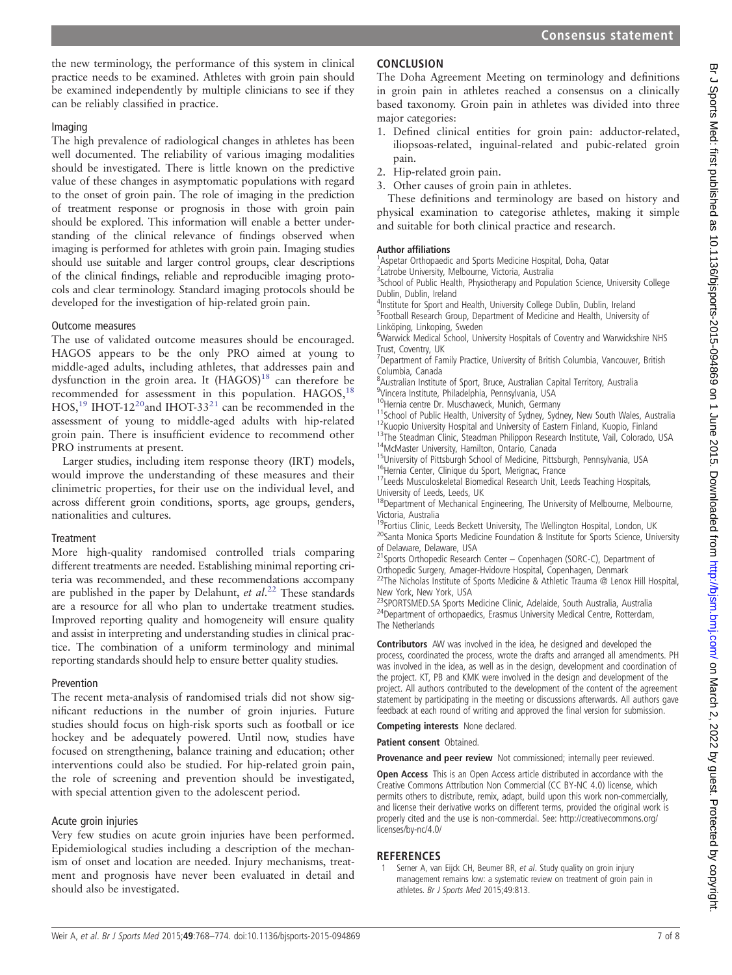<span id="page-6-0"></span>the new terminology, the performance of this system in clinical practice needs to be examined. Athletes with groin pain should be examined independently by multiple clinicians to see if they can be reliably classified in practice.

# Imaging

The high prevalence of radiological changes in athletes has been well documented. The reliability of various imaging modalities should be investigated. There is little known on the predictive value of these changes in asymptomatic populations with regard to the onset of groin pain. The role of imaging in the prediction of treatment response or prognosis in those with groin pain should be explored. This information will enable a better understanding of the clinical relevance of findings observed when imaging is performed for athletes with groin pain. Imaging studies should use suitable and larger control groups, clear descriptions of the clinical findings, reliable and reproducible imaging protocols and clear terminology. Standard imaging protocols should be developed for the investigation of hip-related groin pain.

## Outcome measures

The use of validated outcome measures should be encouraged. HAGOS appears to be the only PRO aimed at young to middle-aged adults, including athletes, that addresses pain and dysfunction in the groin area. It  $(HAGOS)^{18}$  $(HAGOS)^{18}$  $(HAGOS)^{18}$  can therefore be recommended for assessment in this population. HAGOS,<sup>18</sup> HOS,<sup>[19](#page-7-0)</sup> IHOT-12<sup>20</sup> and IHOT-33<sup>21</sup> can be recommended in the assessment of young to middle-aged adults with hip-related groin pain. There is insufficient evidence to recommend other PRO instruments at present.

Larger studies, including item response theory (IRT) models, would improve the understanding of these measures and their clinimetric properties, for their use on the individual level, and across different groin conditions, sports, age groups, genders, nationalities and cultures.

## **Treatment**

More high-quality randomised controlled trials comparing different treatments are needed. Establishing minimal reporting criteria was recommended, and these recommendations accompany are published in the paper by Delahunt, et  $al.^{22}$  $al.^{22}$  $al.^{22}$  These standards are a resource for all who plan to undertake treatment studies. Improved reporting quality and homogeneity will ensure quality and assist in interpreting and understanding studies in clinical practice. The combination of a uniform terminology and minimal reporting standards should help to ensure better quality studies.

## Prevention

The recent meta-analysis of randomised trials did not show significant reductions in the number of groin injuries. Future studies should focus on high-risk sports such as football or ice hockey and be adequately powered. Until now, studies have focused on strengthening, balance training and education; other interventions could also be studied. For hip-related groin pain, the role of screening and prevention should be investigated, with special attention given to the adolescent period.

## Acute groin injuries

Very few studies on acute groin injuries have been performed. Epidemiological studies including a description of the mechanism of onset and location are needed. Injury mechanisms, treatment and prognosis have never been evaluated in detail and should also be investigated.

# **CONCLUSION**

The Doha Agreement Meeting on terminology and definitions in groin pain in athletes reached a consensus on a clinically based taxonomy. Groin pain in athletes was divided into three major categories:

- 1. Defined clinical entities for groin pain: adductor-related, iliopsoas-related, inguinal-related and pubic-related groin pain.
- 2. Hip-related groin pain.
- 3. Other causes of groin pain in athletes.

These definitions and terminology are based on history and physical examination to categorise athletes, making it simple and suitable for both clinical practice and research.

## Author affiliations <sup>1</sup>

<sup>1</sup>Aspetar Orthopaedic and Sports Medicine Hospital, Doha, Qatar

2 Latrobe University, Melbourne, Victoria, Australia

<sup>3</sup>School of Public Health, Physiotherapy and Population Science, University College Dublin, Dublin, Ireland

<sup>4</sup>Institute for Sport and Health, University College Dublin, Dublin, Ireland <sup>5</sup>Football Research Group, Department of Medicine and Health, University of Linköping, Linkoping, Sweden

<sup>6</sup>Warwick Medical School, University Hospitals of Coventry and Warwickshire NHS Trust, Coventry, UK

<sup>7</sup>Department of Family Practice, University of British Columbia, Vancouver, British Columbia, Canada

<sup>8</sup> Australian Institute of Sport, Bruce, Australian Capital Territory, Australia 9 Vincera Institute, Philadelphia, Pennsylvania, USA

<sup>10</sup>Hernia centre Dr. Muschaweck, Munich, Germany<br><sup>11</sup>School of Public Health, University of Sydney, Sydney, New South Wales, Australia<br><sup>12</sup>Kuopio University Hospital and University of Eastern Finland, Kuopio, Finland<br><sup>13</sup>

University of Leeds, Leeds, UK

<sup>18</sup>Department of Mechanical Engineering, The University of Melbourne, Melbourne,

Victoria, Australia<br><sup>19</sup>Fortius Clinic, Leeds Beckett University, The Wellington Hospital, London, UK

20Santa Monica Sports Medicine Foundation & Institute for Sports Science, University of Delaware, Delaware, USA<br><sup>21</sup>Sports Orthopedic Research Center — Copenhagen (SORC-C), Department of

Orthopedic Surgery, Amager-Hvidovre Hospital, Copenhagen, Denmark 22The Nicholas Institute of Sports Medicine & Athletic Trauma @ Lenox Hill Hospital, New York, New York, USA

23SPORTSMED.SA Sports Medicine Clinic, Adelaide, South Australia, Australia<br><sup>24</sup>Department of orthopaedics, Erasmus University Medical Centre, Rotterdam, The Netherlands

Contributors AW was involved in the idea, he designed and developed the process, coordinated the process, wrote the drafts and arranged all amendments. PH was involved in the idea, as well as in the design, development and coordination of the project. KT, PB and KMK were involved in the design and development of the project. All authors contributed to the development of the content of the agreement statement by participating in the meeting or discussions afterwards. All authors gave feedback at each round of writing and approved the final version for submission.

Competing interests None declared.

Patient consent Obtained.

Provenance and peer review Not commissioned; internally peer reviewed.

Open Access This is an Open Access article distributed in accordance with the Creative Commons Attribution Non Commercial (CC BY-NC 4.0) license, which permits others to distribute, remix, adapt, build upon this work non-commercially, and license their derivative works on different terms, provided the original work is properly cited and the use is non-commercial. See: [http://creativecommons.org/](http://creativecommons.org/licenses/by-nc/4.0/) [licenses/by-nc/4.0/](http://creativecommons.org/licenses/by-nc/4.0/)

## REFERENCES

Serner A, van Eijck CH, Beumer BR, et al. Study quality on groin injury management remains low: a systematic review on treatment of groin pain in athletes. Br J Sports Med 2015;49:813.